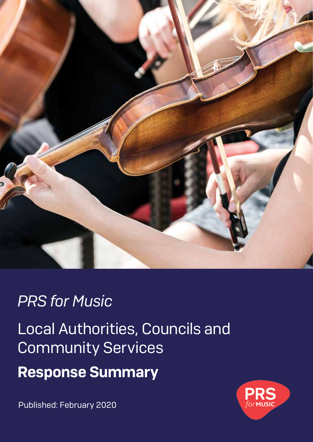

# *PRS for Music*

Local Authorities, Councils and Community Services

Response Summary

Published: February 2020

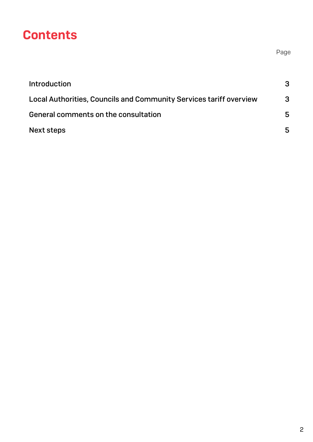### **Contents**

| <b>Introduction</b>                                                | 3 |
|--------------------------------------------------------------------|---|
| Local Authorities, Councils and Community Services tariff overview | 3 |
| General comments on the consultation                               | 5 |
| <b>Next steps</b>                                                  | 5 |

Page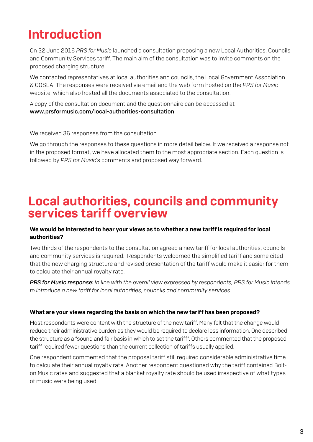# Introduction

On 22 June 2016 *PRS for Music* launched a consultation proposing a new Local Authorities, Councils and Community Services tariff. The main aim of the consultation was to invite comments on the proposed charging structure.

We contacted representatives at local authorities and councils, the Local Government Association & COSLA. The responses were received via email and the web form hosted on the *PRS for Music* website, which also hosted all the documents associated to the consultation.

A copy of the consultation document and the questionnaire can be accessed at www.prsformusic.com/local-authorities-consultation

We received 36 responses from the consultation.

We go through the responses to these questions in more detail below. If we received a response not in the proposed format, we have allocated them to the most appropriate section. Each question is followed by *PRS for Music*'s comments and proposed way forward.

### Local authorities, councils and community services tariff overview

#### We would be interested to hear your views as to whether a new tariff is required for local authorities?

Two thirds of the respondents to the consultation agreed a new tariff for local authorities, councils and community services is required. Respondents welcomed the simplified tariff and some cited that the new charging structure and revised presentation of the tariff would make it easier for them to calculate their annual royalty rate.

*PRS for Music response: In line with the overall view expressed by respondents, PRS for Music intends to introduce a new tariff for local authorities, councils and community services.* 

#### What are your views regarding the basis on which the new tariff has been proposed?

Most respondents were content with the structure of the new tariff. Many felt that the change would reduce their administrative burden as they would be required to declare less information. One described the structure as a "sound and fair basis in which to set the tariff". Others commented that the proposed tariff required fewer questions than the current collection of tariffs usually applied.

One respondent commented that the proposal tariff still required considerable administrative time to calculate their annual royalty rate. Another respondent questioned why the tariff contained Bolton Music rates and suggested that a blanket royalty rate should be used irrespective of what types of music were being used.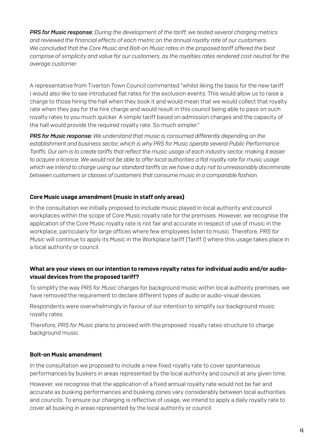*PRS for Music response: During the development of the tariff, we tested several charging metrics and reviewed the financial effects of each metric on the annual royalty rate of our customers. We concluded that the Core Music and Bolt-on Music rates in the proposed tariff offered the best comprise of simplicity and value for our customers, as the royalties rates rendered cost neutral for the average customer.*

A representative from Tiverton Town Council commented "whilst liking the basis for the new tariff I would also like to see introduced flat rates for the exclusion events. This would allow us to raise a charge to those hiring the hall when they book it and would mean that we would collect that royalty rate when they pay for the hire charge and would result in this council being able to pass on such royalty rates to you much quicker. A simple tariff based on admission charges and the capacity of the hall would provide the required royalty rate. So much simpler."

*PRS for Music response: We understand that music is consumed differently depending on the establishment and business sector, which is why PRS for Music operate several Public Performance Tariffs. Our aim is to create tariffs that reflect the music usage of each industry sector, making it easier to acquire a licence. We would not be able to offer local authorities a flat royalty rate for music usage which we intend to charge using our standard tariffs as we have a duty not to unreasonably discriminate between customers or classes of customers that consume music in a comparable fashion.*

#### Core Music usage amendment (music in staff only areas)

In the consultation we initially proposed to include music played in local authority and council workplaces within the scope of Core Music royalty rate for the premises. However, we recognise the application of the Core Music royalty rate is not fair and accurate in respect of use of music in the workplace, particularly for large offices where few employees listen to music. Therefore, *PRS for Music* will continue to apply its Music in the Workplace tariff (Tariff I) where this usage takes place in a local authority or council.

#### What are your views on our intention to remove royalty rates for individual audio and/or audiovisual devices from the proposed tariff?

To simplify the way *PRS for Music* charges for background music within local authority premises, we have removed the requirement to declare different types of audio or audio-visual devices.

Respondents were overwhelmingly in favour of our intention to simplify our background music royalty rates.

Therefore, *PRS for Music* plans to proceed with the proposed royalty rates structure to charge background music.

#### Bolt-on Music amendment

In the consultation we proposed to include a new fixed royalty rate to cover spontaneous performances by buskers in areas represented by the local authority and council at any given time.

However, we recognise that the application of a fixed annual royalty rate would not be fair and accurate as busking performances and busking zones vary considerably between local authorities and councils. To ensure our charging is reflective of usage, we intend to apply a daily royalty rate to cover all busking in areas represented by the local authority or council.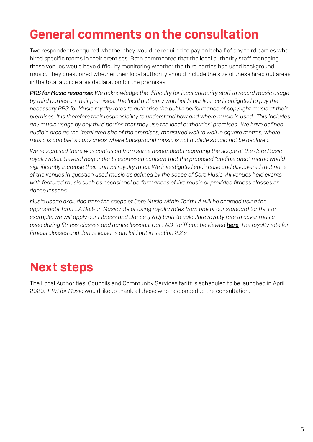## General comments on the consultation

Two respondents enquired whether they would be required to pay on behalf of any third parties who hired specific rooms in their premises. Both commented that the local authority staff managing these venues would have difficulty monitoring whether the third parties had used background music. They questioned whether their local authority should include the size of these hired out areas in the total audible area declaration for the premises.

*PRS for Music response: We acknowledge the difficulty for local authority staff to record music usage by third parties on their premises. The local authority who holds our licence is obligated to pay the necessary PRS for Music royalty rates to authorise the public performance of copyright music at their premises. It is therefore their responsibility to understand how and where music is used. This includes any music usage by any third parties that may use the local authorities' premises. We have defined audible area as the "total area size of the premises, measured wall to wall in square metres, where music is audible" so any areas where background music is not audible should not be declared.*

*We recognised there was confusion from some respondents regarding the scope of the Core Music royalty rates. Several respondents expressed concern that the proposed "audible area" metric would significantly increase their annual royalty rates. We investigated each case and discovered that none of the venues in question used music as defined by the scope of Core Music. All venues held events with featured music such as occasional performances of live music or provided fitness classes or dance lessons.*

*Music usage excluded from the scope of Core Music within Tariff LA will be charged using the appropriate Tariff LA Bolt-on Music rate or using royalty rates from one of our standard tariffs. For example, we will apply our Fitness and Dance (F&D) tariff to calculate royalty rate to cover music used during fitness classes and dance lessons. Our F&D Tariff can be viewed [here](https://pplprs.co.uk/wp-content/uploads/PRS-for-Music-Tariff-Fitness-Dance-FD-2020-1.pdf). The royalty rate for fitness classes and dance lessons are laid out in section 2.2.s*

### Next steps

The Local Authorities, Councils and Community Services tariff is scheduled to be launched in April 2020. *PRS for Music* would like to thank all those who responded to the consultation.